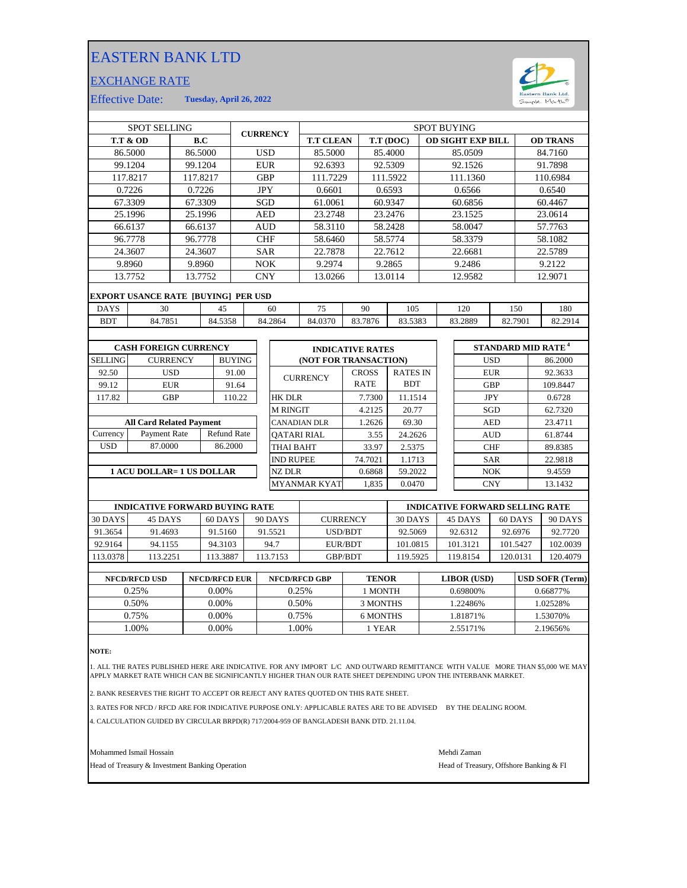## EASTERN BANK LTD

## EXCHANGE RATE



Effective Date: **Tuesday, April 26, 2022**

| <b>SPOT SELLING</b> |                                            |                 |          | <b>CURRENCY</b> |                                 | <b>SPOT BUYING</b> |                 |                               |         |              |                 |                          |          |            |                                      |                 |         |          |
|---------------------|--------------------------------------------|-----------------|----------|-----------------|---------------------------------|--------------------|-----------------|-------------------------------|---------|--------------|-----------------|--------------------------|----------|------------|--------------------------------------|-----------------|---------|----------|
|                     | <b>T.T &amp; OD</b>                        |                 | B.C      |                 |                                 |                    |                 | <b>T.T CLEAN</b><br>T.T (DOC) |         |              |                 | <b>OD SIGHT EXP BILL</b> |          |            |                                      | <b>OD TRANS</b> |         |          |
|                     | 86.5000                                    |                 | 86.5000  |                 |                                 | <b>USD</b>         |                 | 85.5000                       |         |              | 85.4000         |                          |          | 85.0509    |                                      |                 |         | 84.7160  |
|                     | 99.1204                                    |                 | 99.1204  |                 |                                 | <b>EUR</b>         |                 | 92.6393                       | 92.5309 |              |                 | 92.1526                  |          |            | 91.7898                              |                 |         |          |
|                     | 117.8217                                   |                 | 117.8217 |                 |                                 | <b>GBP</b>         |                 | 111.7229                      |         | 111.5922     |                 |                          | 111.1360 |            |                                      | 110.6984        |         |          |
|                     | 0.7226                                     |                 | 0.7226   |                 |                                 | <b>JPY</b>         |                 | 0.6601                        |         | 0.6593       |                 | 0.6566                   |          |            | 0.6540                               |                 |         |          |
|                     | 67.3309                                    |                 | 67.3309  |                 |                                 | SGD                |                 | 61.0061                       |         |              | 60.9347         |                          |          | 60.6856    |                                      |                 |         | 60.4467  |
|                     | 25.1996                                    |                 | 25.1996  |                 |                                 | AED                |                 | 23.2748                       |         |              | 23.2476         |                          |          | 23.1525    |                                      |                 |         | 23.0614  |
|                     | 66.6137                                    |                 | 66.6137  |                 |                                 | <b>AUD</b>         |                 | 58.3110                       |         |              | 58.2428         |                          |          | 58.0047    |                                      |                 |         | 57.7763  |
|                     | 96.7778                                    |                 | 96.7778  |                 |                                 | <b>CHF</b>         |                 | 58.6460                       |         |              | 58.5774         |                          |          | 58.3379    |                                      |                 |         | 58.1082  |
|                     | 24.3607                                    |                 | 24.3607  |                 |                                 |                    |                 | 22.7878                       |         |              | 22.7612         |                          |          | 22.6681    |                                      |                 |         | 22.5789  |
|                     | 9.8960                                     |                 | 9.8960   |                 |                                 |                    |                 | 9.2974                        |         |              | 9.2865          |                          |          | 9.2486     |                                      |                 |         | 9.2122   |
|                     | 13.7752                                    |                 | 13.7752  |                 |                                 |                    |                 | 13.0266                       |         |              | 13.0114         |                          |          | 12.9582    |                                      |                 | 12.9071 |          |
|                     | <b>EXPORT USANCE RATE [BUYING] PER USD</b> |                 |          |                 |                                 |                    |                 |                               |         |              |                 |                          |          |            |                                      |                 |         |          |
| <b>DAYS</b>         | 30                                         |                 |          | 45              |                                 |                    | 60              | 75                            |         | 90           | 105             |                          |          | 120        | 150                                  |                 |         | 180      |
| <b>BDT</b>          | 84.7851                                    |                 |          | 84.5358         |                                 |                    | 84.2864         | 84.0370                       |         | 83.7876      | 83.5383         |                          |          | 83.2889    | 82.7901                              |                 |         | 82.2914  |
|                     |                                            |                 |          |                 |                                 |                    |                 |                               |         |              |                 |                          |          |            |                                      |                 |         |          |
|                     | <b>CASH FOREIGN CURRENCY</b>               |                 |          |                 |                                 |                    |                 | <b>INDICATIVE RATES</b>       |         |              |                 |                          |          |            | <b>STANDARD MID RATE<sup>4</sup></b> |                 |         |          |
| <b>SELLING</b>      |                                            | <b>CURRENCY</b> |          | <b>BUYING</b>   |                                 |                    |                 | (NOT FOR TRANSACTION)         |         |              |                 |                          |          | <b>USD</b> |                                      |                 |         | 86.2000  |
| 92.50               |                                            | <b>USD</b>      |          | 91.00           |                                 |                    |                 | <b>CURRENCY</b>               |         | <b>CROSS</b> | <b>RATES IN</b> |                          |          | <b>EUR</b> |                                      |                 |         | 92.3633  |
| 99.12               |                                            | <b>EUR</b>      |          | 91.64           | <b>SAR</b><br>NOK<br><b>CNY</b> |                    |                 |                               |         | <b>RATE</b>  | <b>BDT</b>      |                          |          | <b>GBP</b> |                                      |                 |         | 109.8447 |
| 117.82              |                                            | <b>GBP</b>      |          | 110.22          |                                 |                    | <b>HK DLR</b>   |                               |         | 7.7300       | 11.1514         |                          |          | <b>JPY</b> |                                      |                 |         | 0.6728   |
|                     |                                            |                 |          |                 |                                 |                    | <b>M RINGIT</b> |                               |         | 4.2125       | 20.77           |                          |          | SGD        |                                      |                 |         | 62.7320  |

|          | <b>All Card Related Payment</b> |                    |  |  |  |  |  |  |
|----------|---------------------------------|--------------------|--|--|--|--|--|--|
| Currency | Payment Rate                    | <b>Refund Rate</b> |  |  |  |  |  |  |
| USD      | 87.0000                         | 86.2000            |  |  |  |  |  |  |
|          |                                 |                    |  |  |  |  |  |  |

## **1 ACU DOLLAR= 1 US DOLLAR**

|                  | INDICATIVE KATES      |                 |  |  |  |  |  |
|------------------|-----------------------|-----------------|--|--|--|--|--|
|                  | (NOT FOR TRANSACTION) |                 |  |  |  |  |  |
| <b>CURRENCY</b>  | <b>CROSS</b>          | <b>RATES IN</b> |  |  |  |  |  |
|                  | <b>RATE</b>           | <b>BDT</b>      |  |  |  |  |  |
| HK DLR           | 7.7300                | 11.1514         |  |  |  |  |  |
| M RINGIT         | 4.2125                | 20.77           |  |  |  |  |  |
| CANADIAN DLR     | 1.2626                | 69.30           |  |  |  |  |  |
| QATARI RIAL      | 3.55                  | 24.2626         |  |  |  |  |  |
| THAI BAHT        | 33.97                 | 2.5375          |  |  |  |  |  |
| <b>IND RUPEE</b> | 74.7021               | 1.1713          |  |  |  |  |  |
| NZ DLR           | 0.6868                | 59.2022         |  |  |  |  |  |
| MYANMAR KYAT     | 1.835                 | 0.0470          |  |  |  |  |  |

| <b>INDICATIVE FORWARD BUYING RATE</b> |          |         |          |                 | <b>INDICATIVE FORWARD SELLING RATE</b> |          |          |          |  |
|---------------------------------------|----------|---------|----------|-----------------|----------------------------------------|----------|----------|----------|--|
| 30 DAYS                               | 45 DAYS  | 60 DAYS | 90 DAYS  | <b>CURRENCY</b> | 30 DAYS                                | 45 DAYS  | 60 DAYS  | 90 DAYS  |  |
| 91.3654                               | 91.4693  | 91.5160 | 91.5521  | USD/BDT         | 92.5069                                | 92.6312  | 92.6976  | 92.7720  |  |
| 92.9164                               | 94.1155  | 94.3103 | 94.7     | EUR/BDT         | 101.0815                               | 101.3121 | 101.5427 | 102.0039 |  |
| 113.0378                              | 113.2251 | 13.3887 | 113.7153 | <b>GBP/BDT</b>  | 119.5925                               | 19.8154  | 120.0131 | 120.4079 |  |
|                                       |          |         |          |                 |                                        |          |          |          |  |

| <b>NFCD/RFCD USD</b> | <b>NFCD/RFCD EUR</b> | <b>NFCD/RFCD GBP</b> | <b>TENOR</b> | <b>LIBOR</b> (USD) | <b>USD SOFR (Term)</b> |
|----------------------|----------------------|----------------------|--------------|--------------------|------------------------|
| 0.25%                | $0.00\%$             | 0.25%                | 1 MONTH      | 0.69800%           | 0.66877%               |
| 0.50%                | $0.00\%$             | 0.50%                | 3 MONTHS     | 1.22486%           | .02528%                |
| 0.75%                | 0.00%                | 0.75%                | 6 MONTHS     | 1.81871%           | 1.53070%               |
| .00%                 | 0.00%                | .00%                 | 1 YEAR       | 2.55171%           | 2.19656%               |
|                      |                      |                      |              |                    |                        |

**NOTE:**

1. ALL THE RATES PUBLISHED HERE ARE INDICATIVE. FOR ANY IMPORT L/C AND OUTWARD REMITTANCE WITH VALUE MORE THAN \$5,000 WE MAY APPLY MARKET RATE WHICH CAN BE SIGNIFICANTLY HIGHER THAN OUR RATE SHEET DEPENDING UPON THE INTERBANK MARKET.

2. BANK RESERVES THE RIGHT TO ACCEPT OR REJECT ANY RATES QUOTED ON THIS RATE SHEET.

3. RATES FOR NFCD / RFCD ARE FOR INDICATIVE PURPOSE ONLY: APPLICABLE RATES ARE TO BE ADVISED BY THE DEALING ROOM.

4. CALCULATION GUIDED BY CIRCULAR BRPD(R) 717/2004-959 OF BANGLADESH BANK DTD. 21.11.04.

Mohammed Ismail Hossain Mehdi Zaman

Head of Treasury & Investment Banking Operation **Head of Treasury, Offshore Banking & FI** 

CNY 13.1432

23.4711 61.8744

89.8385

9.4559 22.9818

AUD

SAR

 $NOK$ 

CHF

 $\mathbf{A}\mathbf{E}\mathbf{D}$